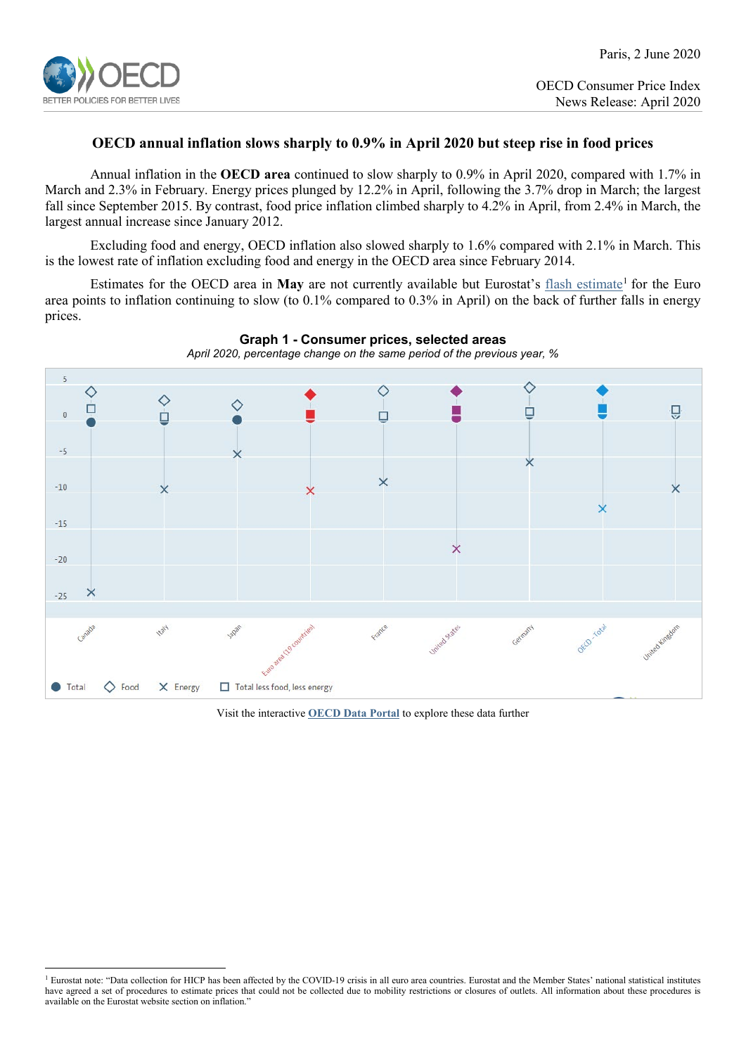

# **OECD annual inflation slows sharply to 0.9% in April 2020 but steep rise in food prices**

Annual inflation in the **OECD area** continued to slow sharply to 0.9% in April 2020, compared with 1.7% in March and 2.3% in February. Energy prices plunged by 12.2% in April, following the 3.7% drop in March; the largest fall since September 2015. By contrast, food price inflation climbed sharply to 4.2% in April, from 2.4% in March, the largest annual increase since January 2012.

Excluding food and energy, OECD inflation also slowed sharply to 1.6% compared with 2.1% in March. This is the lowest rate of inflation excluding food and energy in the OECD area since February 2014.

Estimates for the OECD area in **May** are not currently available but Eurostat's [flash estimate](https://ec.europa.eu/eurostat/documents/2995521/10294840/2-29052020-AP-EN.pdf/82e74a7c-bfea-cc42-b842-260f2ce4039e)<sup>[1](#page-0-0)</sup> for the Euro area points to inflation continuing to slow (to 0.1% compared to 0.3% in April) on the back of further falls in energy prices.



**Graph 1 - Consumer prices, selected areas**

Visit the interactive **[OECD Data Portal](https://data.oecd.org/chart/5Z2d)** to explore these data further

<span id="page-0-0"></span><sup>&</sup>lt;sup>1</sup> Eurostat note: "Data collection for HICP has been affected by the COVID-19 crisis in all euro area countries. Eurostat and the Member States' national statistical institutes have agreed a set of procedures to estimate prices that could not be collected due to mobility restrictions or closures of outlets. All information about these procedures is available on the Eurostat website section on inflation."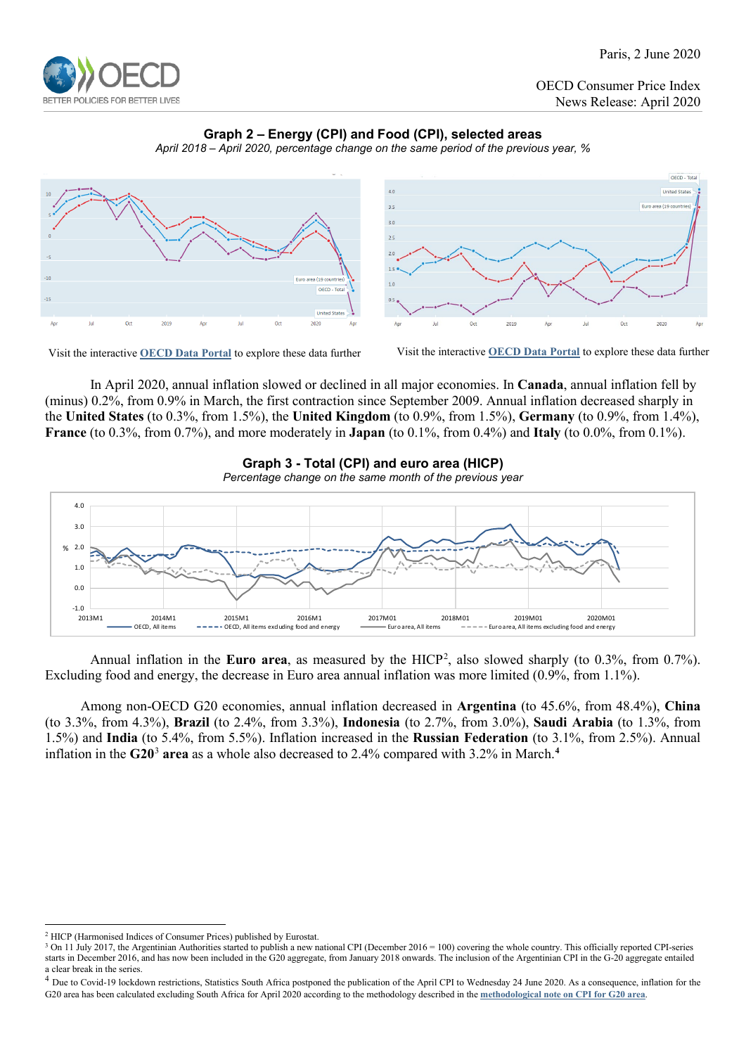

Paris, 2 June 2020

 $OFCD - Tota$ 

OECD Consumer Price Index News Release: April 2020

# **Graph 2 – Energy (CPI) and Food (CPI), selected areas**







Visit the interactive **[OECD Data](https://data.oecd.org/chart/5Z42) Portal** to explore these data further Visit the interactive **[OECD Data Portal](https://data.oecd.org/chart/5Z3Y)** to explore these data further

In April 2020, annual inflation slowed or declined in all major economies. In **Canada**, annual inflation fell by (minus) 0.2%, from 0.9% in March, the first contraction since September 2009. Annual inflation decreased sharply in the **United States** (to 0.3%, from 1.5%), the **United Kingdom** (to 0.9%, from 1.5%), **Germany** (to 0.9%, from 1.4%), **France** (to 0.3%, from 0.7%), and more moderately in **Japan** (to 0.1%, from 0.4%) and **Italy** (to 0.0%, from 0.1%).







Annual inflation in the **Euro area**, as measured by the HICP[2](#page-1-0) , also slowed sharply (to 0.3%, from 0.7%). Excluding food and energy, the decrease in Euro area annual inflation was more limited (0.9%, from 1.1%).

Among non-OECD G20 economies, annual inflation decreased in **Argentina** (to 45.6%, from 48.4%), **China** (to 3.3%, from 4.3%), **Brazil** (to 2.4%, from 3.3%), **Indonesia** (to 2.7%, from 3.0%), **Saudi Arabia** (to 1.3%, from 1.5%) and **India** (to 5.4%, from 5.5%). Inflation increased in the **Russian Federation** (to 3.1%, from 2.5%). Annual inflation in the **G20**[3](#page-1-1) **area** as a whole also decreased to 2.4% compared with 3.2% in March. **[4](#page-1-2)**

<span id="page-1-0"></span> <sup>2</sup> HICP (Harmonised Indices of Consumer Prices) published by Eurostat.

<span id="page-1-1"></span><sup>&</sup>lt;sup>3</sup> On 11 July 2017, the Argentinian Authorities started to publish a new national CPI (December 2016 = 100) covering the whole country. This officially reported CPI-series starts in December 2016, and has now been included in the G20 aggregate, from January 2018 onwards. The inclusion of the Argentinian CPI in the G-20 aggregate entailed a clear break in the series.

<span id="page-1-2"></span><sup>&</sup>lt;sup>4</sup> Due to Covid-19 lockdown restrictions, Statistics South Africa postponed the publication of the April CPI to Wednesday 24 June 2020. As a consequence, inflation for the G20 area has been calculated excluding South Africa for April 2020 according to the methodology described in the **[methodological note on CPI for G20 area](http://www.oecd.org/sdd/prices-ppp/CPI-G20-methodology.pdf)**.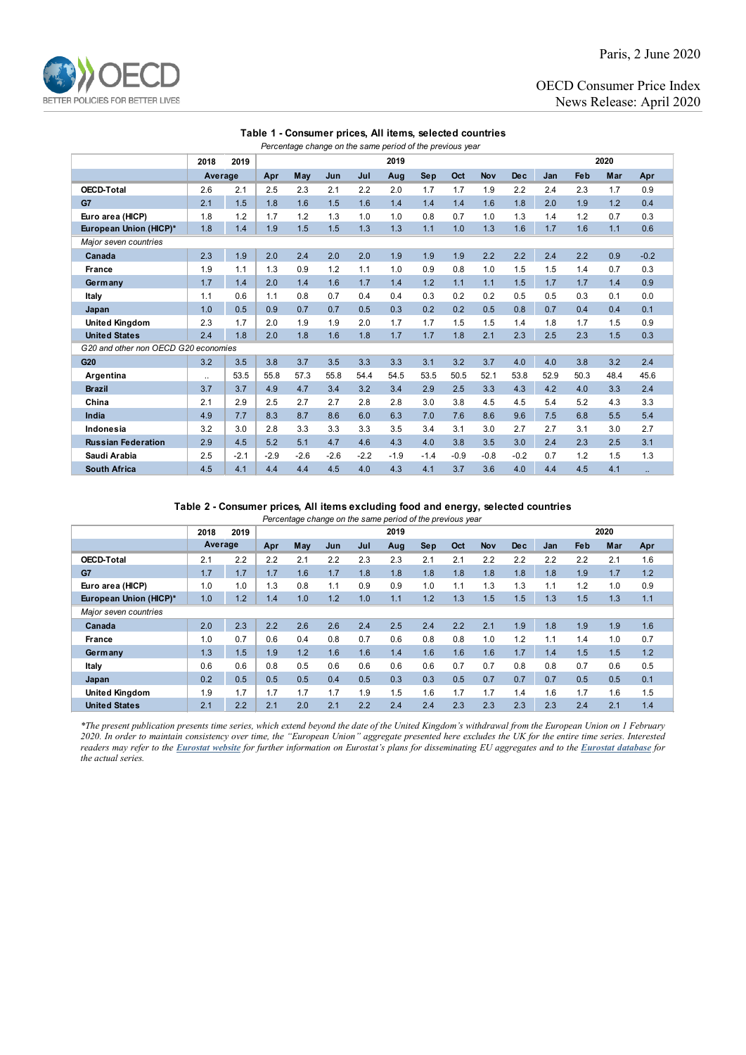

Paris, 2 June 2020

OECD Consumer Price Index News Release: April 2020

## **Table 1 - Consumer prices, All items, selected countries**

| Percentage change on the same period of the previous year |           |        |        |        |        |        |        |        |        |            |            |      |      |      |        |
|-----------------------------------------------------------|-----------|--------|--------|--------|--------|--------|--------|--------|--------|------------|------------|------|------|------|--------|
|                                                           | 2018      | 2019   | 2019   |        |        |        |        |        |        | 2020       |            |      |      |      |        |
|                                                           | Average   |        | Apr    | May    | Jun    | Jul    | Aug    | Sep    | Oct    | <b>Nov</b> | <b>Dec</b> | Jan  | Feb  | Mar  | Apr    |
| <b>OECD-Total</b>                                         | 2.6       | 2.1    | 2.5    | 2.3    | 2.1    | 2.2    | 2.0    | 1.7    | 1.7    | 1.9        | 2.2        | 2.4  | 2.3  | 1.7  | 0.9    |
| G7                                                        | 2.1       | 1.5    | 1.8    | 1.6    | 1.5    | 1.6    | 1.4    | 1.4    | 1.4    | 1.6        | 1.8        | 2.0  | 1.9  | 1.2  | 0.4    |
| Euro area (HICP)                                          | 1.8       | 1.2    | 1.7    | 1.2    | 1.3    | 1.0    | 1.0    | 0.8    | 0.7    | 1.0        | 1.3        | 1.4  | 1.2  | 0.7  | 0.3    |
| European Union (HICP)*                                    | 1.8       | 1.4    | 1.9    | 1.5    | 1.5    | 1.3    | 1.3    | 1.1    | 1.0    | 1.3        | 1.6        | 1.7  | 1.6  | 1.1  | 0.6    |
| Major seven countries                                     |           |        |        |        |        |        |        |        |        |            |            |      |      |      |        |
| Canada                                                    | 2.3       | 1.9    | 2.0    | 2.4    | 2.0    | 2.0    | 1.9    | 1.9    | 1.9    | 2.2        | 2.2        | 2.4  | 2.2  | 0.9  | $-0.2$ |
| <b>France</b>                                             | 1.9       | 1.1    | 1.3    | 0.9    | 1.2    | 1.1    | 1.0    | 0.9    | 0.8    | 1.0        | 1.5        | 1.5  | 1.4  | 0.7  | 0.3    |
| Germany                                                   | 1.7       | 1.4    | 2.0    | 1.4    | 1.6    | 1.7    | 1.4    | 1.2    | 1.1    | 1.1        | 1.5        | 1.7  | 1.7  | 1.4  | 0.9    |
| Italy                                                     | 1.1       | 0.6    | 1.1    | 0.8    | 0.7    | 0.4    | 0.4    | 0.3    | 0.2    | 0.2        | 0.5        | 0.5  | 0.3  | 0.1  | 0.0    |
| Japan                                                     | 1.0       | 0.5    | 0.9    | 0.7    | 0.7    | 0.5    | 0.3    | 0.2    | 0.2    | 0.5        | 0.8        | 0.7  | 0.4  | 0.4  | 0.1    |
| <b>United Kingdom</b>                                     | 2.3       | 1.7    | 2.0    | 1.9    | 1.9    | 2.0    | 1.7    | 1.7    | 1.5    | 1.5        | 1.4        | 1.8  | 1.7  | 1.5  | 0.9    |
| <b>United States</b>                                      | 2.4       | 1.8    | 2.0    | 1.8    | 1.6    | 1.8    | 1.7    | 1.7    | 1.8    | 2.1        | 2.3        | 2.5  | 2.3  | 1.5  | 0.3    |
| G20 and other non OECD G20 economies                      |           |        |        |        |        |        |        |        |        |            |            |      |      |      |        |
| G20                                                       | 3.2       | 3.5    | 3.8    | 3.7    | 3.5    | 3.3    | 3.3    | 3.1    | 3.2    | 3.7        | 4.0        | 4.0  | 3.8  | 3.2  | 2.4    |
| Argentina                                                 | $\ddotsc$ | 53.5   | 55.8   | 57.3   | 55.8   | 54.4   | 54.5   | 53.5   | 50.5   | 52.1       | 53.8       | 52.9 | 50.3 | 48.4 | 45.6   |
| <b>Brazil</b>                                             | 3.7       | 3.7    | 4.9    | 4.7    | 3.4    | 3.2    | 3.4    | 2.9    | 2.5    | 3.3        | 4.3        | 4.2  | 4.0  | 3.3  | 2.4    |
| China                                                     | 2.1       | 2.9    | 2.5    | 2.7    | 2.7    | 2.8    | 2.8    | 3.0    | 3.8    | 4.5        | 4.5        | 5.4  | 5.2  | 4.3  | 3.3    |
| India                                                     | 4.9       | 7.7    | 8.3    | 8.7    | 8.6    | 6.0    | 6.3    | 7.0    | 7.6    | 8.6        | 9.6        | 7.5  | 6.8  | 5.5  | 5.4    |
| Indonesia                                                 | 3.2       | 3.0    | 2.8    | 3.3    | 3.3    | 3.3    | 3.5    | 3.4    | 3.1    | 3.0        | 2.7        | 2.7  | 3.1  | 3.0  | 2.7    |
| <b>Russian Federation</b>                                 | 2.9       | 4.5    | 5.2    | 5.1    | 4.7    | 4.6    | 4.3    | 4.0    | 3.8    | 3.5        | 3.0        | 2.4  | 2.3  | 2.5  | 3.1    |
| Saudi Arabia                                              | 2.5       | $-2.1$ | $-2.9$ | $-2.6$ | $-2.6$ | $-2.2$ | $-1.9$ | $-1.4$ | $-0.9$ | $-0.8$     | $-0.2$     | 0.7  | 1.2  | 1.5  | 1.3    |
| <b>South Africa</b>                                       | 4.5       | 4.1    | 4.4    | 4.4    | 4.5    | 4.0    | 4.3    | 4.1    | 3.7    | 3.6        | 4.0        | 4.4  | 4.5  | 4.1  |        |

### **Table 2 - Consumer prices, All items excluding food and energy, selected countries**

*Percentage change on the same period of the previous year*

|                        | 2018    | 2019 | 2019 |     |     |     |     |            |     | 2020       |      |     |     |     |     |
|------------------------|---------|------|------|-----|-----|-----|-----|------------|-----|------------|------|-----|-----|-----|-----|
|                        | Average |      | Apr  | May | Jun | Jul | Aug | <b>Sep</b> | Oct | <b>Nov</b> | De c | Jan | Feb | Mar | Apr |
| OECD-Total             | 2.1     | 2.2  | 2.2  | 2.1 | 2.2 | 2.3 | 2.3 | 2.1        | 2.1 | 2.2        | 2.2  | 2.2 | 2.2 | 2.1 | 1.6 |
| G7                     | 1.7     | 1.7  | 1.7  | 1.6 | 1.7 | 1.8 | 1.8 | 1.8        | 1.8 | 1.8        | 1.8  | 1.8 | 1.9 | 1.7 | 1.2 |
| Euro area (HICP)       | 1.0     | 1.0  | 1.3  | 0.8 | 1.1 | 0.9 | 0.9 | 1.0        | 1.1 | 1.3        | 1.3  | 1.1 | 1.2 | 1.0 | 0.9 |
| European Union (HICP)* | 1.0     | 1.2  | 1.4  | 1.0 | 1.2 | 1.0 | 1.1 | 1.2        | 1.3 | 1.5        | 1.5  | 1.3 | 1.5 | 1.3 | 1.1 |
| Major seven countries  |         |      |      |     |     |     |     |            |     |            |      |     |     |     |     |
| Canada                 | 2.0     | 2.3  | 2.2  | 2.6 | 2.6 | 2.4 | 2.5 | 2.4        | 2.2 | 2.1        | 1.9  | 1.8 | 1.9 | 1.9 | 1.6 |
| France                 | 1.0     | 0.7  | 0.6  | 0.4 | 0.8 | 0.7 | 0.6 | 0.8        | 0.8 | 1.0        | 1.2  | 1.1 | 1.4 | 1.0 | 0.7 |
| Germany                | 1.3     | 1.5  | 1.9  | 1.2 | 1.6 | 1.6 | 1.4 | 1.6        | 1.6 | 1.6        | 1.7  | 1.4 | 1.5 | 1.5 | 1.2 |
| Italy                  | 0.6     | 0.6  | 0.8  | 0.5 | 0.6 | 0.6 | 0.6 | 0.6        | 0.7 | 0.7        | 0.8  | 0.8 | 0.7 | 0.6 | 0.5 |
| Japan                  | 0.2     | 0.5  | 0.5  | 0.5 | 0.4 | 0.5 | 0.3 | 0.3        | 0.5 | 0.7        | 0.7  | 0.7 | 0.5 | 0.5 | 0.1 |
| <b>United Kingdom</b>  | 1.9     | 1.7  | 1.7  | 1.7 | 1.7 | 1.9 | 1.5 | 1.6        | 1.7 | 1.7        | 1.4  | 1.6 | 1.7 | 1.6 | 1.5 |
| <b>United States</b>   | 2.1     | 2.2  | 2.1  | 2.0 | 2.1 | 2.2 | 2.4 | 2.4        | 2.3 | 2.3        | 2.3  | 2.3 | 2.4 | 2.1 | 1.4 |

*\*The present publication presents time series, which extend beyond the date of the United Kingdom's withdrawal from the European Union on 1 February 2020. In order to maintain consistency over time, the "European Union" aggregate presented here excludes the UK for the entire time series. Interested readers may refer to the [Eurostat website](https://ec.europa.eu/eurostat/help/faq/brexit) for further information on Eurostat's plans for disseminating EU aggregates and to the [Eurostat database](https://ec.europa.eu/eurostat/data/database) for the actual series.*